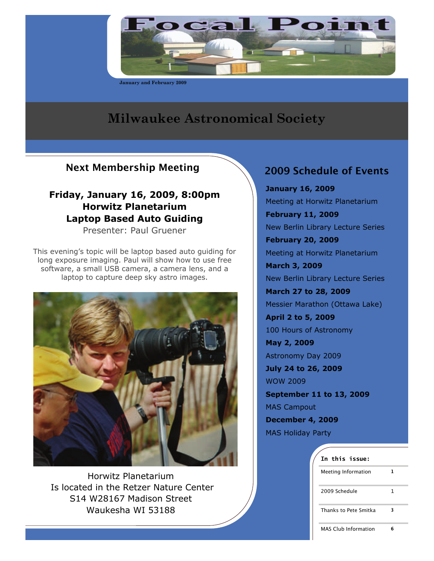

**January and February 2009** 

# **Milwaukee Astronomical Society**

## Next Membership Meeting 2009 Schedule of Events

## **Friday, January 16, 2009, 8:00pm Horwitz Planetarium Laptop Based Auto Guiding**

Presenter: Paul Gruener

This evening's topic will be laptop based auto guiding for long exposure imaging. Paul will show how to use free software, a small USB camera, a camera lens, and a laptop to capture deep sky astro images.



Horwitz Planetarium Is located in the Retzer Nature Center S14 W28167 Madison Street Waukesha WI 53188

**January 16, 2009**  Meeting at Horwitz Planetarium **February 11, 2009**  New Berlin Library Lecture Series **February 20, 2009**  Meeting at Horwitz Planetarium **March 3, 2009**  New Berlin Library Lecture Series **March 27 to 28, 2009**  Messier Marathon (Ottawa Lake) **April 2 to 5, 2009**  100 Hours of Astronomy **May 2, 2009**  Astronomy Day 2009 **July 24 to 26, 2009**  WOW 2009 **September 11 to 13, 2009**  MAS Campout **December 4, 2009**  MAS Holiday Party

| In this issue:              |   |
|-----------------------------|---|
| Meeting Information         | 1 |
| 2009 Schedule               | 1 |
| Thanks to Pete Smitka       | 3 |
| <b>MAS Club Information</b> |   |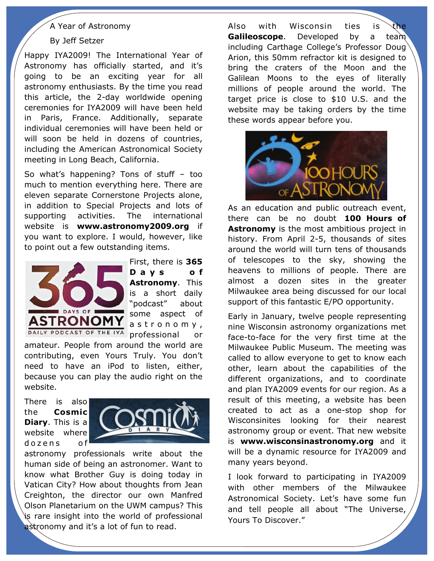### A Year of Astronomy

#### By Jeff Setzer

Happy IYA2009! The International Year of Astronomy has officially started, and it's going to be an exciting year for all astronomy enthusiasts. By the time you read this article, the 2-day worldwide opening ceremonies for IYA2009 will have been held in Paris, France. Additionally, separate individual ceremonies will have been held or will soon be held in dozens of countries, including the American Astronomical Society meeting in Long Beach, California.

So what's happening? Tons of stuff – too much to mention everything here. There are eleven separate Cornerstone Projects alone, in addition to Special Projects and lots of supporting activities. The international website is **www.astronomy2009.org** if you want to explore. I would, however, like to point out a few outstanding items.



First, there is **365 D a y s o f Astronomy**. This is a short daily "podcast" about some aspect of a s t r o n o m y , professional

amateur. People from around the world are contributing, even Yours Truly. You don't need to have an iPod to listen, either, because you can play the audio right on the website.

There is also the **Cosmic Diary**. This is a website where dozens of



astronomy professionals write about the human side of being an astronomer. Want to know what Brother Guy is doing today in Vatican City? How about thoughts from Jean Creighton, the director our own Manfred Olson Planetarium on the UWM campus? This is rare insight into the world of professional astronomy and it's a lot of fun to read.

Also with Wisconsin ties is **Galileoscope**. Developed by a team including Carthage College's Professor Doug Arion, this 50mm refractor kit is designed to bring the craters of the Moon and the Galilean Moons to the eyes of literally millions of people around the world. The target price is close to \$10 U.S. and the website may be taking orders by the time these words appear before you.



As an education and public outreach event, there can be no doubt **100 Hours of Astronomy** is the most ambitious project in history. From April 2-5, thousands of sites around the world will turn tens of thousands of telescopes to the sky, showing the heavens to millions of people. There are almost a dozen sites in the greater Milwaukee area being discussed for our local support of this fantastic E/PO opportunity.

Early in January, twelve people representing nine Wisconsin astronomy organizations met face-to-face for the very first time at the Milwaukee Public Museum. The meeting was called to allow everyone to get to know each other, learn about the capabilities of the different organizations, and to coordinate and plan IYA2009 events for our region. As a result of this meeting, a website has been created to act as a one-stop shop for Wisconsinites looking for their nearest astronomy group or event. That new website is **www.wisconsinastronomy.org** and it will be a dynamic resource for IYA2009 and many years beyond.

I look forward to participating in IYA2009 with other members of the Milwaukee Astronomical Society. Let's have some fun and tell people all about "The Universe, Yours To Discover."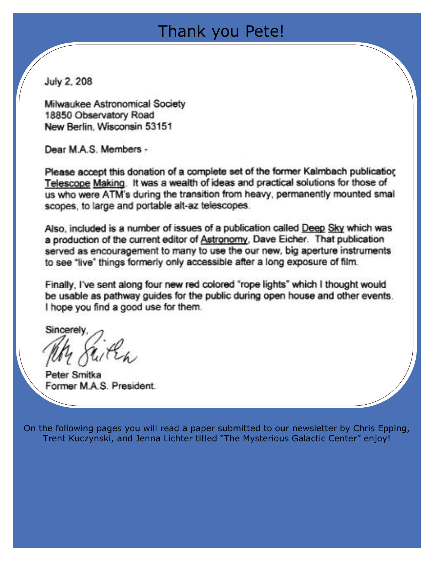# Thank you Pete!

July 2, 208

Milwaukee Astronomical Society 18850 Observatory Road New Berlin, Wisconsin 53151

Dear M.A.S. Members -

Please accept this donation of a complete set of the former Kalmbach publication Telescope Making. It was a wealth of ideas and practical solutions for those of us who were ATM's during the transition from heavy, permanently mounted small scopes, to large and portable alt-az telescopes.

Also, included is a number of issues of a publication called Deep Sky which was a production of the current editor of Astronomy, Dave Eicher. That publication served as encouragement to many to use the our new, big aperture instruments to see "live" things formerly only accessible after a long exposure of film.

Finally. I've sent along four new red colored "rope lights" which I thought would be usable as pathway guides for the public during open house and other events. I hope you find a good use for them.

Sincerely

Peter Smitka Former M.A.S. President.

On the following pages you will read a paper submitted to our newsletter by Chris Epping, Trent Kuczynski, and Jenna Lichter titled "The Mysterious Galactic Center" enjoy!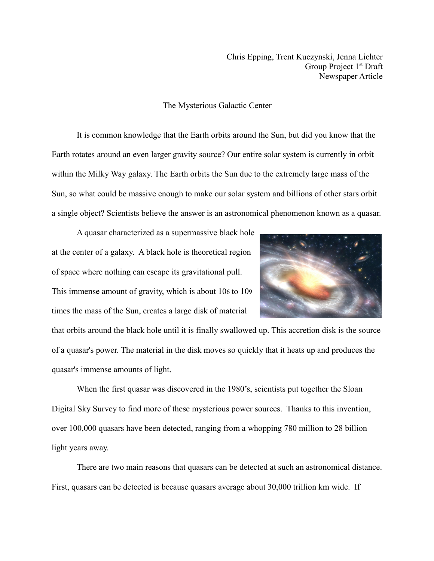Chris Epping, Trent Kuczynski, Jenna Lichter Group Project 1<sup>st</sup> Draft Newspaper Article

### The Mysterious Galactic Center

It is common knowledge that the Earth orbits around the Sun, but did you know that the Earth rotates around an even larger gravity source? Our entire solar system is currently in orbit within the Milky Way galaxy. The Earth orbits the Sun due to the extremely large mass of the Sun, so what could be massive enough to make our solar system and billions of other stars orbit a single object? Scientists believe the answer is an astronomical phenomenon known as a quasar.

A quasar characterized as a supermassive black hole at the center of a galaxy. A black hole is theoretical region of space where nothing can escape its gravitational pull. This immense amount of gravity, which is about 106 to 109 times the mass of the Sun, creates a large disk of material



that orbits around the black hole until it is finally swallowed up. This accretion disk is the source of a quasar's power. The material in the disk moves so quickly that it heats up and produces the quasar's immense amounts of light.

When the first quasar was discovered in the 1980's, scientists put together the Sloan Digital Sky Survey to find more of these mysterious power sources. Thanks to this invention, over 100,000 quasars have been detected, ranging from a whopping 780 million to 28 billion light years away.

There are two main reasons that quasars can be detected at such an astronomical distance. First, quasars can be detected is because quasars average about 30,000 trillion km wide. If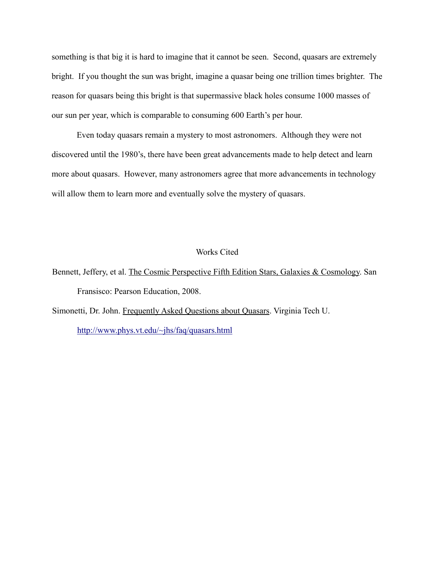something is that big it is hard to imagine that it cannot be seen. Second, quasars are extremely bright. If you thought the sun was bright, imagine a quasar being one trillion times brighter. The reason for quasars being this bright is that supermassive black holes consume 1000 masses of our sun per year, which is comparable to consuming 600 Earth's per hour.

Even today quasars remain a mystery to most astronomers. Although they were not discovered until the 1980's, there have been great advancements made to help detect and learn more about quasars. However, many astronomers agree that more advancements in technology will allow them to learn more and eventually solve the mystery of quasars.

#### Works Cited

- Bennett, Jeffery, et al. The Cosmic Perspective Fifth Edition Stars, Galaxies & Cosmology. San Fransisco: Pearson Education, 2008.
- Simonetti, Dr. John. Frequently Asked Questions about Quasars. Virginia Tech U. <http://www.phys.vt.edu/~jhs/faq/quasars.html>